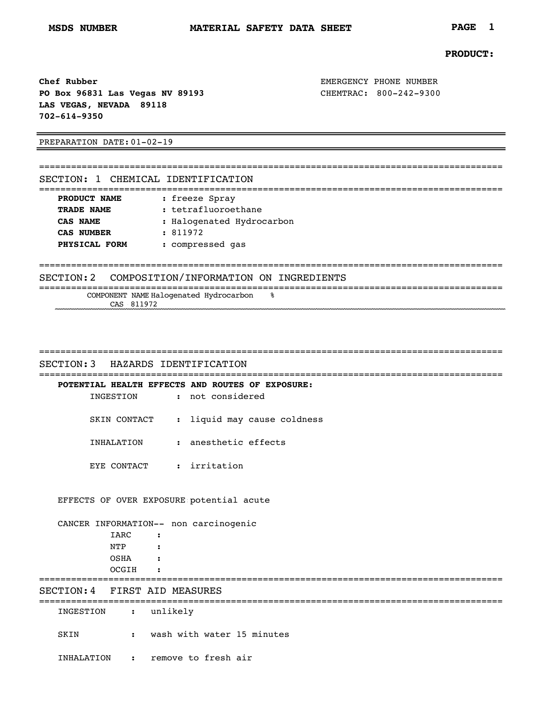## **PRODUCT:**

**Chef Rubber EMERGENCY PHONE NUMBER PO Box 96831 Las Vegas NV 89193** CHEMTRAC: 800-242-9300 **LAS VEGAS, NEVADA 89118 702-614-9350**

PREPARATION DATE:01-02-19

| SECTION: 1 CHEMICAL IDENTIFICATION |                                                   |
|------------------------------------|---------------------------------------------------|
| PRODUCT NAME                       |                                                   |
| TRADE NAME                         | : freeze Spray<br>: tetrafluoroethane             |
| CAS NAME                           | : Halogenated Hydrocarbon                         |
| CAS NUMBER                         | : 811972                                          |
| PHYSICAL FORM                      | : compressed gas                                  |
|                                    |                                                   |
|                                    | SECTION: 2 COMPOSITION/INFORMATION ON INGREDIENTS |

| __<br>___           | ___<br>------ |
|---------------------|---------------|
| NAME<br>NENT<br>ואר |               |
| A,                  |               |

| SECTION: 3 | HAZARDS IDENTIFICATION |
|------------|------------------------|

=======================================================================================

=======================================================================================

|              | POTENTIAL HEALTH EFFECTS AND ROUTES OF EXPOSURE: |
|--------------|--------------------------------------------------|
| INGESTION    | : not considered                                 |
| SKIN CONTACT | : liquid may cause coldness                      |
| INHALATION   | : anesthetic effects                             |
| EYE CONTACT  | : irritation                                     |

## EFFECTS OF OVER EXPOSURE:potential acute

|                               |                             |                      | CANCER INFORMATION-- non carcinogenic |  |  |  |  |
|-------------------------------|-----------------------------|----------------------|---------------------------------------|--|--|--|--|
|                               | IARC                        | $\sim$ $\sim$        |                                       |  |  |  |  |
|                               | NTP                         | $\sim$ $\sim$ $\sim$ |                                       |  |  |  |  |
|                               | OSHA                        | $\sim$ $\sim$        |                                       |  |  |  |  |
|                               | OCGIH                       | $\sim$ $\sim$        |                                       |  |  |  |  |
| SECTION: 4 FIRST AID MEASURES |                             |                      |                                       |  |  |  |  |
| INGESTION                     | $\sim$ $\sim$ $\sim$ $\sim$ |                      | unlikely                              |  |  |  |  |
| SKIN                          | $\mathbf{L}$                |                      | wash with water 15 minutes            |  |  |  |  |
| INHALATION                    | $\sim$ $\sim$ $\sim$        |                      | remove to fresh air                   |  |  |  |  |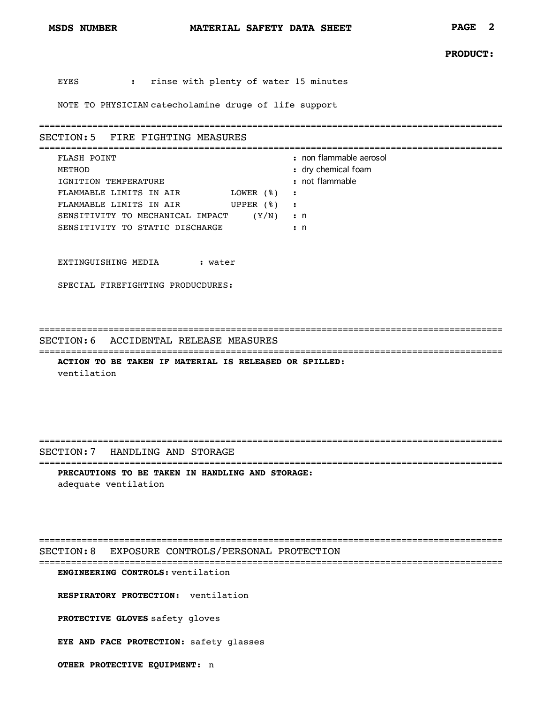EYES **:** rinse with plenty of water 15 minutes

NOTE TO PHYSICIAN catecholamine druge of life support

=======================================================================================

## SECTION:5 FIRE FIGHTING MEASURES

| FLASH POINT                      |               | : non flammable aerosol |
|----------------------------------|---------------|-------------------------|
| METHOD                           |               | : dry chemical foam     |
| IGNITION TEMPERATURE             |               | : not flammable         |
| FLAMMABLE LIMITS IN AIR          | LOWER $(%)$ : |                         |
| FLAMMABLE LIMITS IN AIR          | UPPER $(8)$   |                         |
| SENSITIVITY TO MECHANICAL IMPACT | (Y/N)         | $\cdot$ n               |
| SENSITIVITY TO STATIC DISCHARGE  |               | $\cdot$ n               |
|                                  |               |                         |

EXTINGUISHING MEDIA **:** water

SPECIAL FIREFIGHTING PRODUCDURES:

=======================================================================================

=======================================================================================

SECTION:6 ACCIDENTAL RELEASE MEASURES

**ACTION TO BE TAKEN IF MATERIAL IS RELEASED OR SPILLED:** ventilation

=======================================================================================

SECTION:7 HANDLING AND STORAGE

======================================================================================= **PRECAUTIONS TO BE TAKEN IN HANDLING AND STORAGE:** adequate ventilation

=======================================================================================

SECTION:8 EXPOSURE CONTROLS/PERSONAL PROTECTION =======================================================================================

**ENGINEERING CONTROLS:** ventilation

**RESPIRATORY PROTECTION:** ventilation

PROTECTIVE GLOVES safety gloves

**EYE AND FACE PROTECTION:** safety glasses

**OTHER PROTECTIVE EQUIPMENT:** n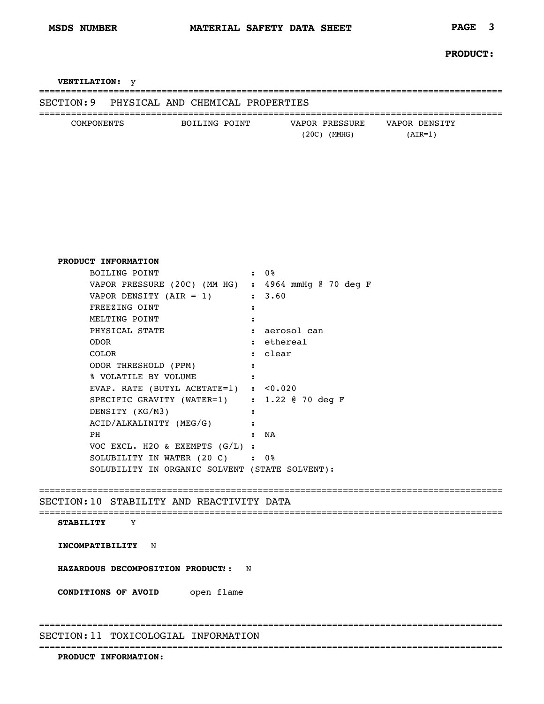**VENTILATION:** y

| SECTION: 9 |  | PHYSICAL AND CHEMICAL PROPERTIES |
|------------|--|----------------------------------|

| COMPONENTS | BOILING POINT | VAPOR PRESSURE | VAPOR DENSITY |  |
|------------|---------------|----------------|---------------|--|
|            |               | 20C)<br>(MMHG) | AIR=1         |  |

=======================================================================================

| PRODUCT INFORMATION                                 |                      |
|-----------------------------------------------------|----------------------|
| BOILING POINT                                       | $\cdot$ 0%           |
| VAPOR PRESSURE (20C) (MM HG) : 4964 mmHg @ 70 deg F |                      |
| VAPOR DENSITY $(AIR = 1)$                           | : 3.60               |
| FREEZING OINT                                       | :                    |
| MELTING POINT                                       |                      |
| PHYSICAL STATE                                      | : aerosol can        |
| <b>ODOR</b>                                         | : ethereal           |
| <b>COLOR</b>                                        | : clear              |
| ODOR THRESHOLD (PPM)                                | :                    |
| % VOLATILE BY VOLUME                                | $\cdot$              |
| EVAP. RATE (BUTYL ACETATE=1) : $< 0.020$            |                      |
| SPECIFIC GRAVITY (WATER=1) : 1.22 @ 70 deg F        |                      |
| DENSITY (KG/M3)                                     | :                    |
| ACID/ALKALINITY (MEG/G)                             | $\ddot{\phantom{a}}$ |
| <b>PH</b>                                           | NA<br>$\bullet$      |
| VOC EXCL. H2O & EXEMPTS (G/L) :                     |                      |
| SOLUBILITY IN WATER (20 C) : 0%                     |                      |
| SOLUBILITY IN ORGANIC SOLVENT (STATE SOLVENT):      |                      |
|                                                     |                      |

=======================================================================================

SECTION:10 STABILITY AND REACTIVITY DATA

## =======================================================================================

=======================================================================================

**STABILITY** Y

**INCOMPATIBILITY** N

**HAZARDOUS DECOMPOSITION PRODUCT::** N

**CONDITIONS OF AVOID** open flame

SECTION:11 TOXICOLOGIAL INFORMATION

=======================================================================================

**PRODUCT INFORMATION:**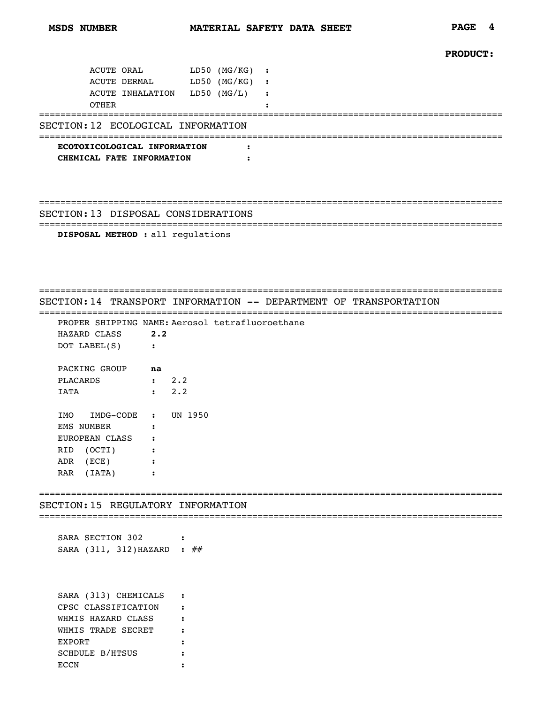```
PRODUCT:
```

| ACUTE ORAL<br>ACUTE DERMAL LD50 (MG/KG) :                 | LD50 (MG/KG) | $\cdot$ :            |
|-----------------------------------------------------------|--------------|----------------------|
| ACUTE INHALATION LD50 (MG/L)<br><b>OTHER</b>              |              | $\ddot{\phantom{1}}$ |
| SECTION: 12 ECOLOGICAL INFORMATION                        |              |                      |
| ECOTOXICOLOGICAL INFORMATION<br>CHEMICAL FATE INFORMATION |              |                      |
| SECTION: 13 DISPOSAL CONSIDERATIONS                       |              |                      |
| DISPOSAL METHOD : all regulations                         |              |                      |

=======================================================================================

SECTION:14 TRANSPORT INFORMATION -- DEPARTMENT OF TRANSPORTATION

======================================================================================= PROPER SHIPPING NAME: Aerosol tetrafluoroethane<br>HAZARD CLASS 2.2 HAZARD CLASS **2.2** DOT LABEL(S) **:** PACKING GROUP **na** PLACARDS **:** 2.2 IATA **:** 2.2 IMO IMDG-CODE **:** UN 1950

EMS NUMBER **:** EUROPEAN CLASS **:** RID (OCTI) **:** ADR (ECE) **:** RAR (IATA) **:**

SECTION:15 REGULATORY INFORMATION

=======================================================================================

=======================================================================================

SARA SECTION 302 **:** SARA (311, 312) HAZARD : ##

SARA (313) CHEMICALS **:** CPSC CLASSIFICATION **:** WHMIS HAZARD CLASS **:** WHMIS TRADE SECRET **:** EXPORT **:** SCHDULE B/HTSUS **:** ECCN **:**